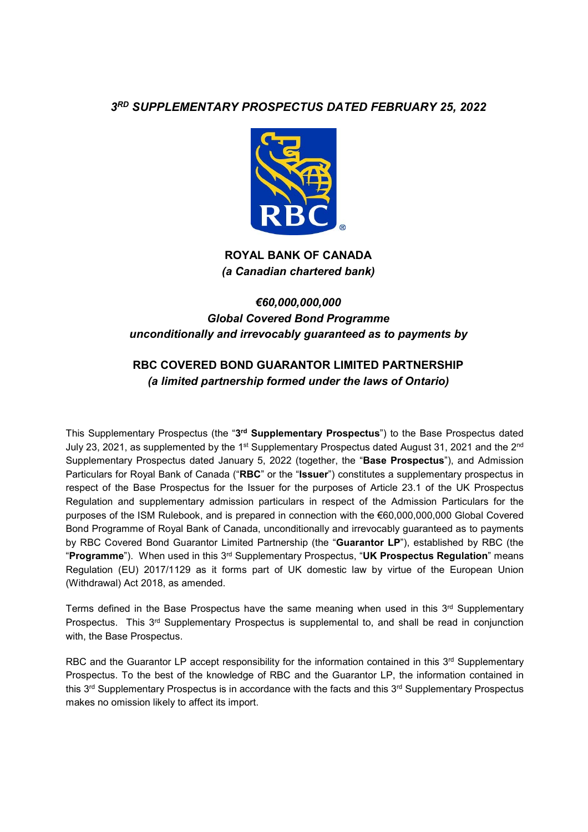## *3RD SUPPLEMENTARY PROSPECTUS DATED FEBRUARY 25, 2022*



## **ROYAL BANK OF CANADA**  *(a Canadian chartered bank)*

# *€60,000,000,000 Global Covered Bond Programme unconditionally and irrevocably guaranteed as to payments by*

# **RBC COVERED BOND GUARANTOR LIMITED PARTNERSHIP**  *(a limited partnership formed under the laws of Ontario)*

This Supplementary Prospectus (the "**3rd Supplementary Prospectus**") to the Base Prospectus dated July 23, 2021, as supplemented by the 1st Supplementary Prospectus dated August 31, 2021 and the 2nd Supplementary Prospectus dated January 5, 2022 (together, the "**Base Prospectus**"), and Admission Particulars for Royal Bank of Canada ("**RBC**" or the "**Issuer**") constitutes a supplementary prospectus in respect of the Base Prospectus for the Issuer for the purposes of Article 23.1 of the UK Prospectus Regulation and supplementary admission particulars in respect of the Admission Particulars for the purposes of the ISM Rulebook, and is prepared in connection with the €60,000,000,000 Global Covered Bond Programme of Royal Bank of Canada, unconditionally and irrevocably guaranteed as to payments by RBC Covered Bond Guarantor Limited Partnership (the "**Guarantor LP**"), established by RBC (the "**Programme**"). When used in this 3rd Supplementary Prospectus, "**UK Prospectus Regulation**" means Regulation (EU) 2017/1129 as it forms part of UK domestic law by virtue of the European Union (Withdrawal) Act 2018, as amended.

Terms defined in the Base Prospectus have the same meaning when used in this  $3<sup>rd</sup>$  Supplementary Prospectus. This 3rd Supplementary Prospectus is supplemental to, and shall be read in conjunction with, the Base Prospectus.

RBC and the Guarantor LP accept responsibility for the information contained in this  $3<sup>rd</sup>$  Supplementary Prospectus. To the best of the knowledge of RBC and the Guarantor LP, the information contained in this  $3^{rd}$  Supplementary Prospectus is in accordance with the facts and this  $3^{rd}$  Supplementary Prospectus makes no omission likely to affect its import.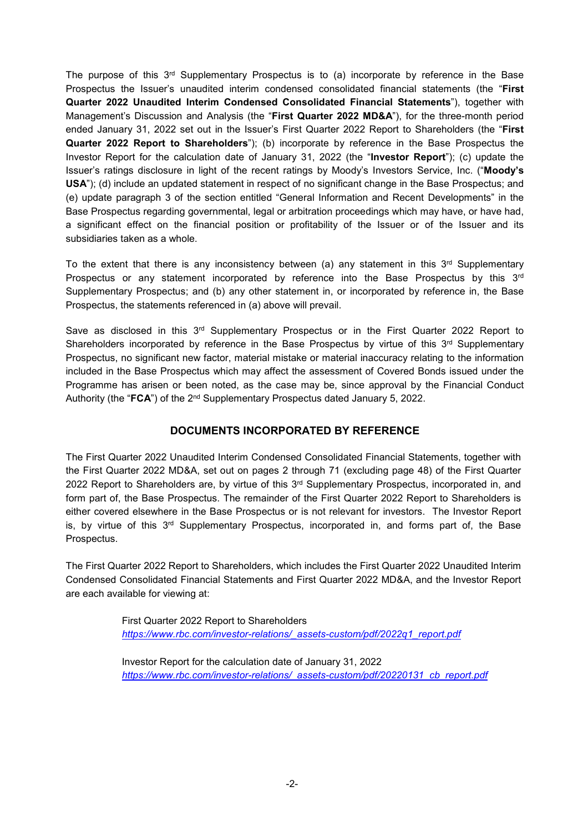The purpose of this 3<sup>rd</sup> Supplementary Prospectus is to (a) incorporate by reference in the Base Prospectus the Issuer's unaudited interim condensed consolidated financial statements (the "**First Quarter 2022 Unaudited Interim Condensed Consolidated Financial Statements**"), together with Management's Discussion and Analysis (the "**First Quarter 2022 MD&A**"), for the three-month period ended January 31, 2022 set out in the Issuer's First Quarter 2022 Report to Shareholders (the "**First Quarter 2022 Report to Shareholders**"); (b) incorporate by reference in the Base Prospectus the Investor Report for the calculation date of January 31, 2022 (the "**Investor Report**"); (c) update the Issuer's ratings disclosure in light of the recent ratings by Moody's Investors Service, Inc. ("**Moody's USA**"); (d) include an updated statement in respect of no significant change in the Base Prospectus; and (e) update paragraph 3 of the section entitled "General Information and Recent Developments" in the Base Prospectus regarding governmental, legal or arbitration proceedings which may have, or have had, a significant effect on the financial position or profitability of the Issuer or of the Issuer and its subsidiaries taken as a whole.

To the extent that there is any inconsistency between (a) any statement in this  $3<sup>rd</sup>$  Supplementary Prospectus or any statement incorporated by reference into the Base Prospectus by this 3<sup>rd</sup> Supplementary Prospectus; and (b) any other statement in, or incorporated by reference in, the Base Prospectus, the statements referenced in (a) above will prevail.

Save as disclosed in this 3<sup>rd</sup> Supplementary Prospectus or in the First Quarter 2022 Report to Shareholders incorporated by reference in the Base Prospectus by virtue of this  $3<sup>rd</sup>$  Supplementary Prospectus, no significant new factor, material mistake or material inaccuracy relating to the information included in the Base Prospectus which may affect the assessment of Covered Bonds issued under the Programme has arisen or been noted, as the case may be, since approval by the Financial Conduct Authority (the "**FCA**") of the 2nd Supplementary Prospectus dated January 5, 2022.

### **DOCUMENTS INCORPORATED BY REFERENCE**

The First Quarter 2022 Unaudited Interim Condensed Consolidated Financial Statements, together with the First Quarter 2022 MD&A, set out on pages 2 through 71 (excluding page 48) of the First Quarter 2022 Report to Shareholders are, by virtue of this 3<sup>rd</sup> Supplementary Prospectus, incorporated in, and form part of, the Base Prospectus. The remainder of the First Quarter 2022 Report to Shareholders is either covered elsewhere in the Base Prospectus or is not relevant for investors. The Investor Report is, by virtue of this  $3<sup>rd</sup>$  Supplementary Prospectus, incorporated in, and forms part of, the Base Prospectus.

The First Quarter 2022 Report to Shareholders, which includes the First Quarter 2022 Unaudited Interim Condensed Consolidated Financial Statements and First Quarter 2022 MD&A, and the Investor Report are each available for viewing at:

> First Quarter 2022 Report to Shareholders *https://www.rbc.com/investor-relations/\_assets-custom/pdf/2022q1\_report.pdf*

Investor Report for the calculation date of January 31, 2022 *https://www.rbc.com/investor-relations/\_assets-custom/pdf/20220131\_cb\_report.pdf*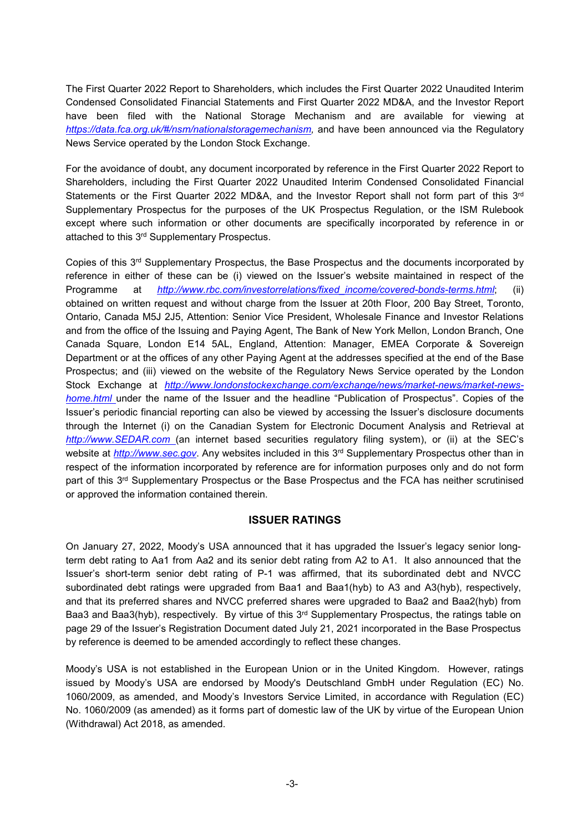The First Quarter 2022 Report to Shareholders, which includes the First Quarter 2022 Unaudited Interim Condensed Consolidated Financial Statements and First Quarter 2022 MD&A, and the Investor Report have been filed with the National Storage Mechanism and are available for viewing at *https://data.fca.org.uk/#/nsm/nationalstoragemechanism,* and have been announced via the Regulatory News Service operated by the London Stock Exchange.

For the avoidance of doubt, any document incorporated by reference in the First Quarter 2022 Report to Shareholders, including the First Quarter 2022 Unaudited Interim Condensed Consolidated Financial Statements or the First Quarter 2022 MD&A, and the Investor Report shall not form part of this 3rd Supplementary Prospectus for the purposes of the UK Prospectus Regulation, or the ISM Rulebook except where such information or other documents are specifically incorporated by reference in or attached to this 3rd Supplementary Prospectus.

Copies of this 3rd Supplementary Prospectus, the Base Prospectus and the documents incorporated by reference in either of these can be (i) viewed on the Issuer's website maintained in respect of the Programme at *http://www.rbc.com/investorrelations/fixed\_income/covered-bonds-terms.html*; (ii) obtained on written request and without charge from the Issuer at 20th Floor, 200 Bay Street, Toronto, Ontario, Canada M5J 2J5, Attention: Senior Vice President, Wholesale Finance and Investor Relations and from the office of the Issuing and Paying Agent, The Bank of New York Mellon, London Branch, One Canada Square, London E14 5AL, England, Attention: Manager, EMEA Corporate & Sovereign Department or at the offices of any other Paying Agent at the addresses specified at the end of the Base Prospectus; and (iii) viewed on the website of the Regulatory News Service operated by the London Stock Exchange at *http://www.londonstockexchange.com/exchange/news/market-news/market-newshome.html* under the name of the Issuer and the headline "Publication of Prospectus". Copies of the Issuer's periodic financial reporting can also be viewed by accessing the Issuer's disclosure documents through the Internet (i) on the Canadian System for Electronic Document Analysis and Retrieval at *http://www.SEDAR.com* (an internet based securities regulatory filing system), or (ii) at the SEC's website at *http://www.sec.gov*. Any websites included in this 3<sup>rd</sup> Supplementary Prospectus other than in respect of the information incorporated by reference are for information purposes only and do not form part of this 3<sup>rd</sup> Supplementary Prospectus or the Base Prospectus and the FCA has neither scrutinised or approved the information contained therein.

#### **ISSUER RATINGS**

On January 27, 2022, Moody's USA announced that it has upgraded the Issuer's legacy senior longterm debt rating to Aa1 from Aa2 and its senior debt rating from A2 to A1. It also announced that the Issuer's short-term senior debt rating of P-1 was affirmed, that its subordinated debt and NVCC subordinated debt ratings were upgraded from Baa1 and Baa1(hyb) to A3 and A3(hyb), respectively, and that its preferred shares and NVCC preferred shares were upgraded to Baa2 and Baa2(hyb) from Baa3 and Baa3(hyb), respectively. By virtue of this 3<sup>rd</sup> Supplementary Prospectus, the ratings table on page 29 of the Issuer's Registration Document dated July 21, 2021 incorporated in the Base Prospectus by reference is deemed to be amended accordingly to reflect these changes.

Moody's USA is not established in the European Union or in the United Kingdom. However, ratings issued by Moody's USA are endorsed by Moody's Deutschland GmbH under Regulation (EC) No. 1060/2009, as amended, and Moody's Investors Service Limited, in accordance with Regulation (EC) No. 1060/2009 (as amended) as it forms part of domestic law of the UK by virtue of the European Union (Withdrawal) Act 2018, as amended.